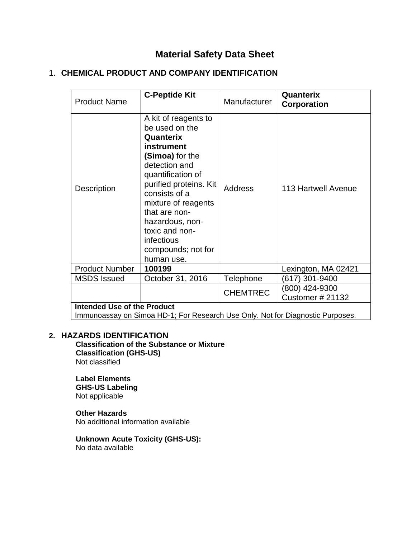# **Material Safety Data Sheet**

## 1. **CHEMICAL PRODUCT AND COMPANY IDENTIFICATION**

| <b>Product Name</b>                | <b>C-Peptide Kit</b>                                                                                                                                                                                                                                                                                 | Manufacturer    | Quanterix<br>Corporation                  |  |
|------------------------------------|------------------------------------------------------------------------------------------------------------------------------------------------------------------------------------------------------------------------------------------------------------------------------------------------------|-----------------|-------------------------------------------|--|
| <b>Description</b>                 | A kit of reagents to<br>be used on the<br>Quanterix<br>instrument<br>(Simoa) for the<br>detection and<br>quantification of<br>purified proteins. Kit<br>consists of a<br>mixture of reagents<br>that are non-<br>hazardous, non-<br>toxic and non-<br>infectious<br>compounds; not for<br>human use. | <b>Address</b>  | 113 Hartwell Avenue                       |  |
| <b>Product Number</b>              | 100199                                                                                                                                                                                                                                                                                               |                 | Lexington, MA 02421                       |  |
| <b>MSDS</b> Issued                 | October 31, 2016                                                                                                                                                                                                                                                                                     | Telephone       | (617) 301-9400                            |  |
|                                    |                                                                                                                                                                                                                                                                                                      | <b>CHEMTREC</b> | (800) 424-9300<br><b>Customer # 21132</b> |  |
| <b>Intended Use of the Product</b> |                                                                                                                                                                                                                                                                                                      |                 |                                           |  |

Immunoassay on Simoa HD-1; For Research Use Only. Not for Diagnostic Purposes.

### **2. HAZARDS IDENTIFICATION**

 **Classification of the Substance or Mixture Classification (GHS-US)** Not classified

### **Label Elements GHS-US Labeling** Not applicable

**Other Hazards** No additional information available

**Unknown Acute Toxicity (GHS-US):** No data available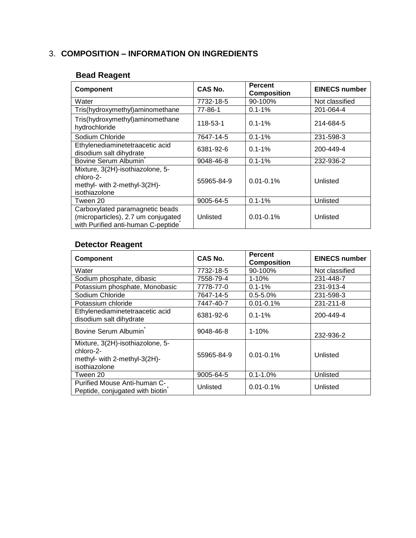# 3. **COMPOSITION – INFORMATION ON INGREDIENTS**

## **Bead Reagent**

| <b>Component</b>                                                                                             | CAS No.    | <b>Percent</b><br><b>Composition</b> | <b>EINECS number</b> |
|--------------------------------------------------------------------------------------------------------------|------------|--------------------------------------|----------------------|
| Water                                                                                                        | 7732-18-5  | 90-100%                              | Not classified       |
| Tris(hydroxymethyl)aminomethane                                                                              | 77-86-1    | $0.1 - 1%$                           | 201-064-4            |
| Tris(hydroxymethyl)aminomethane<br>hydrochloride                                                             | 118-53-1   | $0.1 - 1%$                           | 214-684-5            |
| Sodium Chloride                                                                                              | 7647-14-5  | $0.1 - 1\%$                          | 231-598-3            |
| Ethylenediaminetetraacetic acid<br>disodium salt dihydrate                                                   | 6381-92-6  | $0.1 - 1%$                           | 200-449-4            |
| Bovine Serum Albumin                                                                                         | 9048-46-8  | $0.1 - 1%$                           | 232-936-2            |
| Mixture, 3(2H)-isothiazolone, 5-<br>chloro-2-<br>methyl- with 2-methyl-3(2H)-<br>isothiazolone               | 55965-84-9 | $0.01 - 0.1\%$                       | Unlisted             |
| Tween 20                                                                                                     | 9005-64-5  | $0.1 - 1%$                           | Unlisted             |
| Carboxylated paramagnetic beads<br>(microparticles), 2.7 um conjugated<br>with Purified anti-human C-peptide | Unlisted   | $0.01 - 0.1\%$                       | Unlisted             |

# **Detector Reagent**

| <b>Component</b>                                                                               | CAS No.    | <b>Percent</b><br><b>Composition</b> | <b>EINECS number</b> |
|------------------------------------------------------------------------------------------------|------------|--------------------------------------|----------------------|
| Water                                                                                          | 7732-18-5  | 90-100%                              | Not classified       |
| Sodium phosphate, dibasic                                                                      | 7558-79-4  | $1 - 10%$                            | 231-448-7            |
| Potassium phosphate, Monobasic                                                                 | 7778-77-0  | $0.1 - 1%$                           | 231-913-4            |
| Sodium Chloride                                                                                | 7647-14-5  | $0.5 - 5.0%$                         | 231-598-3            |
| Potassium chloride                                                                             | 7447-40-7  | $0.01 - 0.1%$                        | 231-211-8            |
| Ethylenediaminetetraacetic acid<br>disodium salt dihydrate                                     | 6381-92-6  | $0.1 - 1\%$                          | 200-449-4            |
| Bovine Serum Albumin <sup>*</sup>                                                              | 9048-46-8  | $1 - 10%$                            | 232-936-2            |
| Mixture, 3(2H)-isothiazolone, 5-<br>chloro-2-<br>methyl- with 2-methyl-3(2H)-<br>isothiazolone | 55965-84-9 | $0.01 - 0.1\%$                       | Unlisted             |
| Tween 20                                                                                       | 9005-64-5  | $0.1 - 1.0%$                         | Unlisted             |
| Purified Mouse Anti-human C-<br>Peptide, conjugated with biotin                                | Unlisted   | $0.01 - 0.1%$                        | Unlisted             |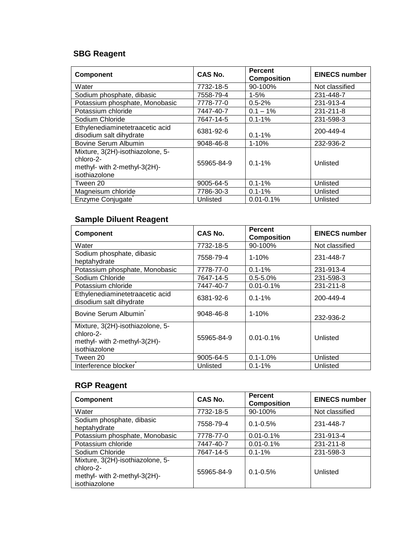# **SBG Reagent**

| <b>Component</b>                                                                               | CAS No.    | <b>Percent</b><br><b>Composition</b> | <b>EINECS number</b> |
|------------------------------------------------------------------------------------------------|------------|--------------------------------------|----------------------|
| Water                                                                                          | 7732-18-5  | 90-100%                              | Not classified       |
| Sodium phosphate, dibasic                                                                      | 7558-79-4  | $1 - 5%$                             | 231-448-7            |
| Potassium phosphate, Monobasic                                                                 | 7778-77-0  | $0.5 - 2%$                           | 231-913-4            |
| Potassium chloride                                                                             | 7447-40-7  | $0.1 - 1\%$                          | 231-211-8            |
| Sodium Chloride                                                                                | 7647-14-5  | $0.1 - 1%$                           | 231-598-3            |
| Ethylenediaminetetraacetic acid<br>disodium salt dihydrate                                     | 6381-92-6  | $0.1 - 1%$                           | 200-449-4            |
| Bovine Serum Albumin                                                                           | 9048-46-8  | $1 - 10%$                            | 232-936-2            |
| Mixture, 3(2H)-isothiazolone, 5-<br>chloro-2-<br>methyl- with 2-methyl-3(2H)-<br>isothiazolone | 55965-84-9 | $0.1 - 1\%$                          | Unlisted             |
| Tween 20                                                                                       | 9005-64-5  | $0.1 - 1%$                           | Unlisted             |
| Magneisum chloride                                                                             | 7786-30-3  | $0.1 - 1%$                           | Unlisted             |
| Enzyme Conjugate                                                                               | Unlisted   | $0.01 - 0.1%$                        | Unlisted             |

# **Sample Diluent Reagent**

| Component                                                                                      | CAS No.    | <b>Percent</b><br><b>Composition</b> | <b>EINECS number</b> |
|------------------------------------------------------------------------------------------------|------------|--------------------------------------|----------------------|
| Water                                                                                          | 7732-18-5  | 90-100%                              | Not classified       |
| Sodium phosphate, dibasic<br>heptahydrate                                                      | 7558-79-4  | $1 - 10%$                            | 231-448-7            |
| Potassium phosphate, Monobasic                                                                 | 7778-77-0  | $0.1 - 1%$                           | 231-913-4            |
| Sodium Chloride                                                                                | 7647-14-5  | $0.5 - 5.0%$                         | 231-598-3            |
| Potassium chloride                                                                             | 7447-40-7  | $0.01 - 0.1%$                        | 231-211-8            |
| Ethylenediaminetetraacetic acid<br>disodium salt dihydrate                                     | 6381-92-6  | $0.1 - 1\%$                          | 200-449-4            |
| Bovine Serum Albumin                                                                           | 9048-46-8  | $1 - 10%$                            | 232-936-2            |
| Mixture, 3(2H)-isothiazolone, 5-<br>chloro-2-<br>methyl- with 2-methyl-3(2H)-<br>isothiazolone | 55965-84-9 | $0.01 - 0.1\%$                       | Unlisted             |
| Tween 20                                                                                       | 9005-64-5  | $0.1 - 1.0%$                         | Unlisted             |
| Interference blocker                                                                           | Unlisted   | $0.1 - 1%$                           | Unlisted             |

## **RGP Reagent**

| <b>Component</b>                                                                               | CAS No.    | <b>Percent</b><br><b>Composition</b> | <b>EINECS number</b> |
|------------------------------------------------------------------------------------------------|------------|--------------------------------------|----------------------|
| Water                                                                                          | 7732-18-5  | 90-100%                              | Not classified       |
| Sodium phosphate, dibasic<br>heptahydrate                                                      | 7558-79-4  | $0.1 - 0.5\%$                        | 231-448-7            |
| Potassium phosphate, Monobasic                                                                 | 7778-77-0  | $0.01 - 0.1%$                        | 231-913-4            |
| Potassium chloride                                                                             | 7447-40-7  | $0.01 - 0.1%$                        | 231-211-8            |
| Sodium Chloride                                                                                | 7647-14-5  | $0.1 - 1\%$                          | 231-598-3            |
| Mixture, 3(2H)-isothiazolone, 5-<br>chloro-2-<br>methyl- with 2-methyl-3(2H)-<br>isothiazolone | 55965-84-9 | $0.1 - 0.5\%$                        | Unlisted             |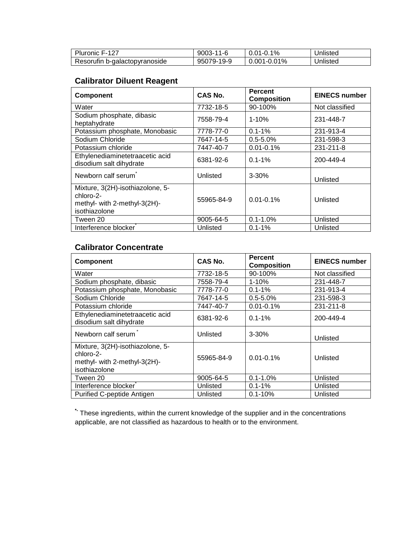| Pluronic F-127                | $9003 - 11 - 6$ | $0.01 - 0.1\%$   | Unlisted |
|-------------------------------|-----------------|------------------|----------|
| Resorufin b-galactopyranoside | 95079-19-9      | $0.001 - 0.01\%$ | Unlisted |

## **Calibrator Diluent Reagent**

| <b>Component</b>                                                                               | CAS No.    | <b>Percent</b><br><b>Composition</b> | <b>EINECS number</b> |
|------------------------------------------------------------------------------------------------|------------|--------------------------------------|----------------------|
| Water                                                                                          | 7732-18-5  | 90-100%                              | Not classified       |
| Sodium phosphate, dibasic<br>heptahydrate                                                      | 7558-79-4  | $1 - 10%$                            | 231-448-7            |
| Potassium phosphate, Monobasic                                                                 | 7778-77-0  | $0.1 - 1%$                           | 231-913-4            |
| Sodium Chloride                                                                                | 7647-14-5  | $0.5 - 5.0%$                         | 231-598-3            |
| Potassium chloride                                                                             | 7447-40-7  | $0.01 - 0.1%$                        | 231-211-8            |
| Ethylenediaminetetraacetic acid<br>disodium salt dihydrate                                     | 6381-92-6  | $0.1 - 1\%$                          | 200-449-4            |
| Newborn calf serum                                                                             | Unlisted   | $3 - 30%$                            | Unlisted             |
| Mixture, 3(2H)-isothiazolone, 5-<br>chloro-2-<br>methyl- with 2-methyl-3(2H)-<br>isothiazolone | 55965-84-9 | $0.01 - 0.1\%$                       | Unlisted             |
| Tween 20                                                                                       | 9005-64-5  | $0.1 - 1.0\%$                        | Unlisted             |
| Interference blocker                                                                           | Unlisted   | $0.1 - 1\%$                          | Unlisted             |

## **Calibrator Concentrate**

| <b>Component</b>                                                                               | CAS No.    | <b>Percent</b><br><b>Composition</b> | <b>EINECS number</b> |
|------------------------------------------------------------------------------------------------|------------|--------------------------------------|----------------------|
| Water                                                                                          | 7732-18-5  | 90-100%                              | Not classified       |
| Sodium phosphate, dibasic                                                                      | 7558-79-4  | $1 - 10%$                            | 231-448-7            |
| Potassium phosphate, Monobasic                                                                 | 7778-77-0  | $0.1 - 1%$                           | 231-913-4            |
| Sodium Chloride                                                                                | 7647-14-5  | $0.5 - 5.0%$                         | 231-598-3            |
| Potassium chloride                                                                             | 7447-40-7  | $0.01 - 0.1%$                        | 231-211-8            |
| Ethylenediaminetetraacetic acid<br>disodium salt dihydrate                                     | 6381-92-6  | $0.1 - 1\%$                          | 200-449-4            |
| Newborn calf serum                                                                             | Unlisted   | $3 - 30%$                            | Unlisted             |
| Mixture, 3(2H)-isothiazolone, 5-<br>chloro-2-<br>methyl- with 2-methyl-3(2H)-<br>isothiazolone | 55965-84-9 | $0.01 - 0.1\%$                       | Unlisted             |
| Tween 20                                                                                       | 9005-64-5  | $0.1 - 1.0\%$                        | Unlisted             |
| Interference blocker                                                                           | Unlisted   | $0.1 - 1%$                           | Unlisted             |
| Purified C-peptide Antigen                                                                     | Unlisted   | $0.1 - 10%$                          | Unlisted             |

**\*-** These ingredients, within the current knowledge of the supplier and in the concentrations applicable, are not classified as hazardous to health or to the environment.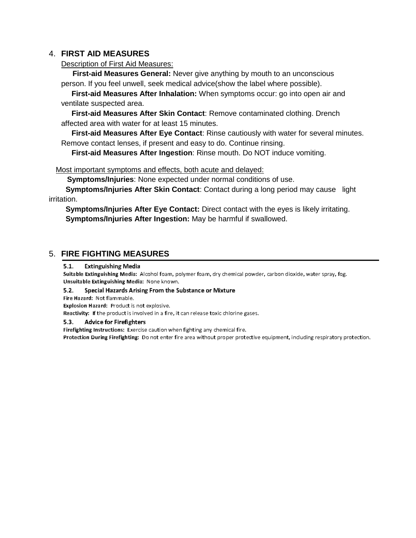### 4. **FIRST AID MEASURES**

Description of First Aid Measures:

 **First-aid Measures General:** Never give anything by mouth to an unconscious person. If you feel unwell, seek medical advice(show the label where possible).

 **First-aid Measures After Inhalation:** When symptoms occur: go into open air and ventilate suspected area.

 **First-aid Measures After Skin Contact**: Remove contaminated clothing. Drench affected area with water for at least 15 minutes.

 **First-aid Measures After Eye Contact**: Rinse cautiously with water for several minutes. Remove contact lenses, if present and easy to do. Continue rinsing.

 **First-aid Measures After Ingestion**: Rinse mouth. Do NOT induce vomiting.

### Most important symptoms and effects, both acute and delayed:

 **Symptoms/Injuries**: None expected under normal conditions of use.

 **Symptoms/Injuries After Skin Contact**: Contact during a long period may cause light irritation.

 **Symptoms/Injuries After Eye Contact:** Direct contact with the eyes is likely irritating.  **Symptoms/Injuries After Ingestion:** May be harmful if swallowed.

## 5. **FIRE FIGHTING MEASURES**

 $5.1.$ **Extinguishing Media** 

Suitable Extinguishing Media: Alcohol foam, polymer foam, dry chemical powder, carbon dioxide, water spray, fog. Unsuitable Extinguishing Media: None known.

 $5.2.$ Special Hazards Arising From the Substance or Mixture

Fire Hazard: Not flammable.

Explosion Hazard: Product is not explosive.

Reactivity: If the product is involved in a fire, it can release toxic chlorine gases.

#### $5.3.$ **Advice for Firefighters**

Firefighting Instructions: Exercise caution when fighting any chemical fire. Protection During Firefighting: Do not enter fire area without proper protective equipment, including respiratory protection.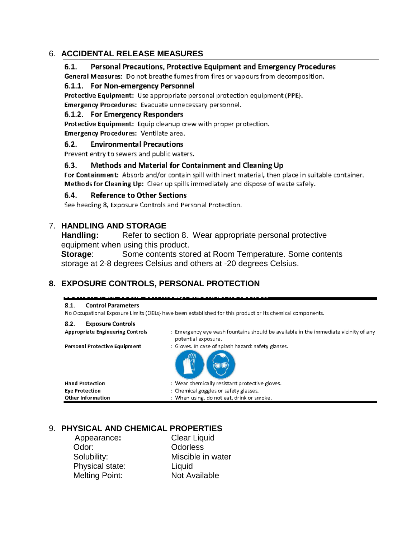## 6. **ACCIDENTAL RELEASE MEASURES**

#### $6.1.$ Personal Precautions, Protective Equipment and Emergency Procedures

General Measures: Do not breathe fumes from fires or vapours from decomposition.

### 6.1.1. For Non-emergency Personnel

Protective Equipment: Use appropriate personal protection equipment (PPE).

Emergency Procedures: Evacuate unnecessary personnel.

### 6.1.2. For Emergency Responders

Protective Equipment: Equip cleanup crew with proper protection.

Emergency Procedures: Ventilate area.

#### $6.2.$ **Environmental Precautions**

Prevent entry to sewers and public waters.

#### $6.3.$ Methods and Material for Containment and Cleaning Up

For Containment: Absorb and/or contain spill with inert material, then place in suitable container. Methods for Cleaning Up: Clear up spills immediately and dispose of waste safely.

#### $6.4.$ **Reference to Other Sections**

See heading 8, Exposure Controls and Personal Protection.

## 7. **HANDLING AND STORAGE**

Handling: Refer to section 8. Wear appropriate personal protective equipment when using this product.

**Storage:** Some contents stored at Room Temperature. Some contents storage at 2-8 degrees Celsius and others at -20 degrees Celsius.

## **8. EXPOSURE CONTROLS, PERSONAL PROTECTION**

#### $8.1.$ **Control Parameters**

No Occupational Exposure Limits (OELs) have been established for this product or its chemical components.

| 8.2. | <b>Exposure Controls</b> |  |
|------|--------------------------|--|
|      | .                        |  |

| <b>Appropriate Engineering Controls</b> | : Emergency eye wash fountains should be available in the immediate vicinity of any<br>potential exposure. |
|-----------------------------------------|------------------------------------------------------------------------------------------------------------|
| Personal Protective Equipment           | : Gloves, In case of splash hazard: safety glasses,                                                        |
| <b>Hand Protection</b>                  | : Wear chemically resistant protective gloves.                                                             |
| <b>Eye Protection</b>                   | : Chemical goggles or safety glasses.                                                                      |
| Other Information                       | : When using, do not eat, drink or smoke.                                                                  |

## 9. **PHYSICAL AND CHEMICAL PROPERTIES**

Odor: Odorless Physical state: Liquid Melting Point: Not Available

 Appearance**:** Clear Liquid Solubility: Miscible in water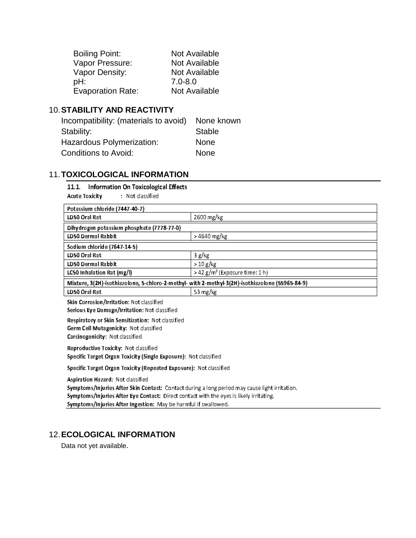| <b>Boiling Point:</b>    | Not Available |
|--------------------------|---------------|
| Vapor Pressure:          | Not Available |
| Vapor Density:           | Not Available |
| pH:                      | $7.0 - 8.0$   |
| <b>Evaporation Rate:</b> | Not Available |

## 10.**STABILITY AND REACTIVITY**

| Incompatibility: (materials to avoid) | None known  |
|---------------------------------------|-------------|
| Stability:                            | Stable      |
| Hazardous Polymerization:             | <b>None</b> |
| Conditions to Avoid:                  | <b>None</b> |

# 11.**TOXICOLOGICAL INFORMATION**

 $\overline{a}$ 

|                | 11.1. Information On Toxicological Effects |                  |
|----------------|--------------------------------------------|------------------|
| Acute Toxicity |                                            | : Not classified |

| Potassium chloride (7447-40-7)                                                                                                                                                                                                                                                                    |                                            |  |  |
|---------------------------------------------------------------------------------------------------------------------------------------------------------------------------------------------------------------------------------------------------------------------------------------------------|--------------------------------------------|--|--|
| LD50 Oral Rat                                                                                                                                                                                                                                                                                     | 2600 mg/kg                                 |  |  |
| Dihydrogen potassium phosphate (7778-77-0)                                                                                                                                                                                                                                                        |                                            |  |  |
| <b>LD50 Dermal Rabbit</b>                                                                                                                                                                                                                                                                         | > 4640 mg/kg                               |  |  |
| Sodium chloride (7647-14-5)                                                                                                                                                                                                                                                                       |                                            |  |  |
| LD50 Oral Rat                                                                                                                                                                                                                                                                                     | 3 g/kg                                     |  |  |
| LD50 Dermal Rabbit                                                                                                                                                                                                                                                                                | >10 g/kg                                   |  |  |
| LC50 Inhalation Rat (mg/l)                                                                                                                                                                                                                                                                        | > 42 g/m <sup>3</sup> (Exposure time: 1 h) |  |  |
| Mixture, 3(2H)-isothiazolone, 5-chloro-2-methyl-with 2-methyl-3(2H)-isothiazolone (55965-84-9)                                                                                                                                                                                                    |                                            |  |  |
| LD50 Oral Rat                                                                                                                                                                                                                                                                                     | 53 mg/kg                                   |  |  |
| Skin Corrosion/Irritation: Not classified<br>Serious Eye Damage/Irritation: Not classified                                                                                                                                                                                                        |                                            |  |  |
| Respiratory or Skin Sensitization: Not classified<br>Germ Cell Mutagenicity: Not classified<br>Carcinogenicity: Not classified                                                                                                                                                                    |                                            |  |  |
| Reproductive Toxicity: Not classified<br>Specific Target Organ Toxicity (Single Exposure): Not classified                                                                                                                                                                                         |                                            |  |  |
| Specific Target Organ Toxicity (Repeated Exposure): Not classified                                                                                                                                                                                                                                |                                            |  |  |
| Aspiration Hazard: Not classified<br>Symptoms/Injuries After Skin Contact: Contact during a long period may cause light irritation.<br>Symptoms/Injuries After Eye Contact: Direct contact with the eyes is likely irritating.<br>Symptoms/Injuries After Ingestion: May be harmful if swallowed. |                                            |  |  |

# 12.**ECOLOGICAL INFORMATION**

Data not yet available.